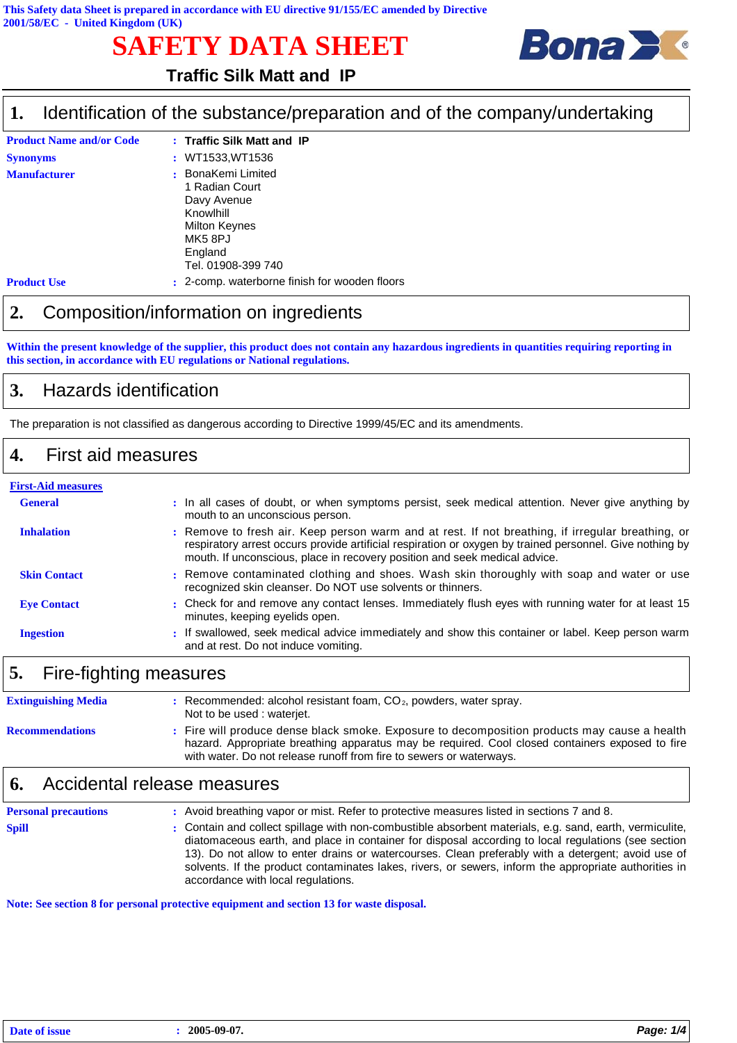# **SAFETY DATA SHEET**



### **Traffic Silk Matt and IP**

#### Identification of the substance/preparation and of the company/undertaking **1.**

| <b>Product Name and/or Code</b> | : Traffic Silk Matt and IP                                                                                                    |
|---------------------------------|-------------------------------------------------------------------------------------------------------------------------------|
| <b>Synonyms</b>                 | : WT1533.WT1536                                                                                                               |
| <b>Manufacturer</b>             | : BonaKemi Limited<br>1 Radian Court<br>Davy Avenue<br>Knowlhill<br>Milton Keynes<br>MK5 8PJ<br>England<br>Tel. 01908-399 740 |
| <b>Product Use</b>              | 2-comp. waterborne finish for wooden floors                                                                                   |

### **2.** Composition/information on ingredients

**Within the present knowledge of the supplier, this product does not contain any hazardous ingredients in quantities requiring reporting in this section, in accordance with EU regulations or National regulations.**

### **3.** Hazards identification

The preparation is not classified as dangerous according to Directive 1999/45/EC and its amendments.

#### **4.** First aid measures

# **First-Aid measures**

| <b>General</b>      | : In all cases of doubt, or when symptoms persist, seek medical attention. Never give anything by<br>mouth to an unconscious person.                                                                                                                                                        |
|---------------------|---------------------------------------------------------------------------------------------------------------------------------------------------------------------------------------------------------------------------------------------------------------------------------------------|
| <b>Inhalation</b>   | : Remove to fresh air. Keep person warm and at rest. If not breathing, if irregular breathing, or<br>respiratory arrest occurs provide artificial respiration or oxygen by trained personnel. Give nothing by<br>mouth. If unconscious, place in recovery position and seek medical advice. |
| <b>Skin Contact</b> | : Remove contaminated clothing and shoes. Wash skin thoroughly with soap and water or use<br>recognized skin cleanser. Do NOT use solvents or thinners.                                                                                                                                     |
| <b>Eve Contact</b>  | : Check for and remove any contact lenses. Immediately flush eyes with running water for at least 15<br>minutes, keeping eyelids open.                                                                                                                                                      |
| <b>Ingestion</b>    | : If swallowed, seek medical advice immediately and show this container or label. Keep person warm<br>and at rest. Do not induce vomiting.                                                                                                                                                  |

### **5.** Fire-fighting measures

| <b>Extinguishing Media</b> | Recommended: alcohol resistant foam, $CO2$ , powders, water spray.<br>Not to be used: waterjet.                                                                                                                                                                      |
|----------------------------|----------------------------------------------------------------------------------------------------------------------------------------------------------------------------------------------------------------------------------------------------------------------|
| <b>Recommendations</b>     | Fire will produce dense black smoke. Exposure to decomposition products may cause a health<br>hazard. Appropriate breathing apparatus may be required. Cool closed containers exposed to fire<br>with water. Do not release runoff from fire to sewers or waterways. |

#### **6.** Accidental release measures

| <b>Personal precautions</b> | : Avoid breathing vapor or mist. Refer to protective measures listed in sections 7 and 8.                                                                                                                                                                                                                                                                                                                                                                           |
|-----------------------------|---------------------------------------------------------------------------------------------------------------------------------------------------------------------------------------------------------------------------------------------------------------------------------------------------------------------------------------------------------------------------------------------------------------------------------------------------------------------|
| <b>Spill</b>                | : Contain and collect spillage with non-combustible absorbent materials, e.g. sand, earth, vermiculite,<br>diatomaceous earth, and place in container for disposal according to local regulations (see section<br>13). Do not allow to enter drains or watercourses. Clean preferably with a detergent; avoid use of<br>solvents. If the product contaminates lakes, rivers, or sewers, inform the appropriate authorities in<br>accordance with local regulations. |

**Note: See section 8 for personal protective equipment and section 13 for waste disposal.**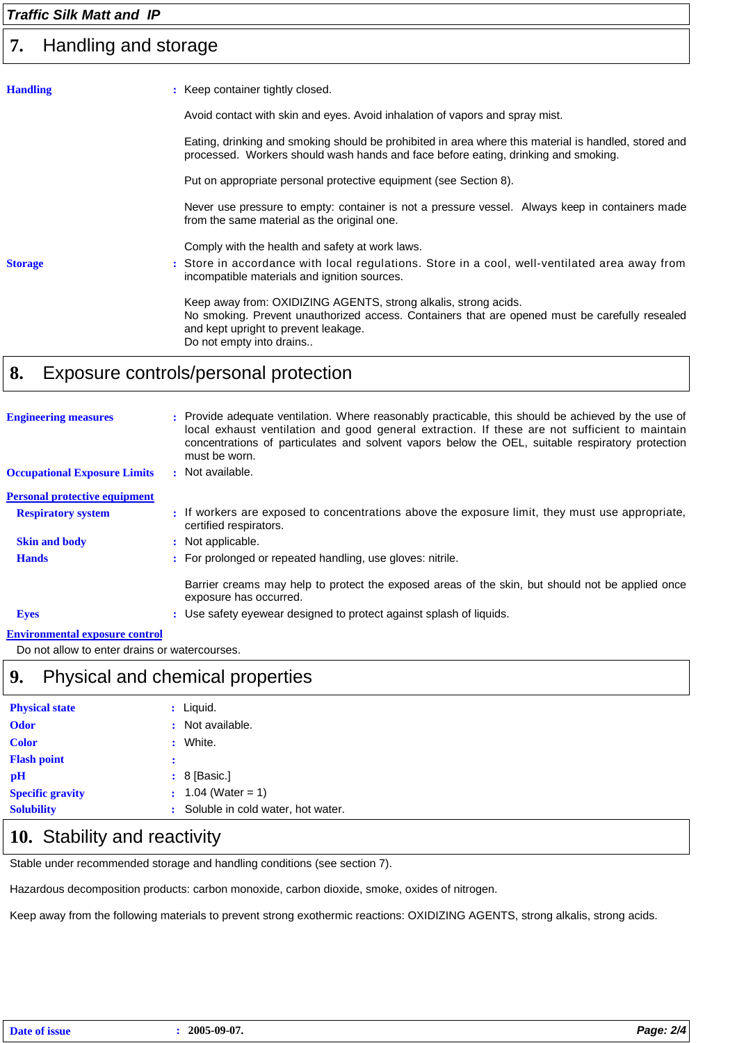#### *Traffic Silk Matt and IP*

#### Handling and storage **7.**

| <b>Handling</b> | : Keep container tightly closed.                                                                                                                                                                                                      |
|-----------------|---------------------------------------------------------------------------------------------------------------------------------------------------------------------------------------------------------------------------------------|
|                 | Avoid contact with skin and eyes. Avoid inhalation of vapors and spray mist.                                                                                                                                                          |
|                 | Eating, drinking and smoking should be prohibited in area where this material is handled, stored and<br>processed. Workers should wash hands and face before eating, drinking and smoking.                                            |
|                 | Put on appropriate personal protective equipment (see Section 8).                                                                                                                                                                     |
|                 | Never use pressure to empty: container is not a pressure vessel. Always keep in containers made<br>from the same material as the original one.                                                                                        |
|                 | Comply with the health and safety at work laws.                                                                                                                                                                                       |
| <b>Storage</b>  | : Store in accordance with local regulations. Store in a cool, well-ventilated area away from<br>incompatible materials and ignition sources.                                                                                         |
|                 | Keep away from: OXIDIZING AGENTS, strong alkalis, strong acids.<br>No smoking. Prevent unauthorized access. Containers that are opened must be carefully resealed<br>and kept upright to prevent leakage.<br>Do not empty into drains |
|                 |                                                                                                                                                                                                                                       |

### **8.** Exposure controls/personal protection

| <b>Engineering measures</b>                                                                                                                                                                                                   | : Provide adequate ventilation. Where reasonably practicable, this should be achieved by the use of<br>local exhaust ventilation and good general extraction. If these are not sufficient to maintain<br>concentrations of particulates and solvent vapors below the OEL, suitable respiratory protection<br>must be worn. |
|-------------------------------------------------------------------------------------------------------------------------------------------------------------------------------------------------------------------------------|----------------------------------------------------------------------------------------------------------------------------------------------------------------------------------------------------------------------------------------------------------------------------------------------------------------------------|
| <b>Occupational Exposure Limits</b>                                                                                                                                                                                           | : Not available.                                                                                                                                                                                                                                                                                                           |
| <b>Personal protective equipment</b>                                                                                                                                                                                          |                                                                                                                                                                                                                                                                                                                            |
| <b>Respiratory system</b>                                                                                                                                                                                                     | : If workers are exposed to concentrations above the exposure limit, they must use appropriate,<br>certified respirators.                                                                                                                                                                                                  |
| <b>Skin and body</b>                                                                                                                                                                                                          | : Not applicable.                                                                                                                                                                                                                                                                                                          |
| <b>Hands</b>                                                                                                                                                                                                                  | : For prolonged or repeated handling, use gloves: nitrile.                                                                                                                                                                                                                                                                 |
|                                                                                                                                                                                                                               | Barrier creams may help to protect the exposed areas of the skin, but should not be applied once<br>exposure has occurred.                                                                                                                                                                                                 |
| <b>Eyes</b>                                                                                                                                                                                                                   | : Use safety eyewear designed to protect against splash of liquids.                                                                                                                                                                                                                                                        |
| The characteristic control of the control of the control of the control of the control of the control of the control of the control of the control of the control of the control of the control of the control of the control |                                                                                                                                                                                                                                                                                                                            |

#### **Environmental exposure control**

Do not allow to enter drains or watercourses.

### **9.** Physical and chemical properties

| <b>Physical state</b>   |   | : Liquid.                           |
|-------------------------|---|-------------------------------------|
| <b>Odor</b>             |   | : Not available.                    |
| <b>Color</b>            | ÷ | White.                              |
| <b>Flash point</b>      | : |                                     |
| рH                      |   | $: 8$ [Basic.]                      |
| <b>Specific gravity</b> |   | $: 1.04$ (Water = 1)                |
| <b>Solubility</b>       |   | : Soluble in cold water, hot water. |

### 10. Stability and reactivity

Stable under recommended storage and handling conditions (see section 7).

Hazardous decomposition products: carbon monoxide, carbon dioxide, smoke, oxides of nitrogen.

Keep away from the following materials to prevent strong exothermic reactions: OXIDIZING AGENTS, strong alkalis, strong acids.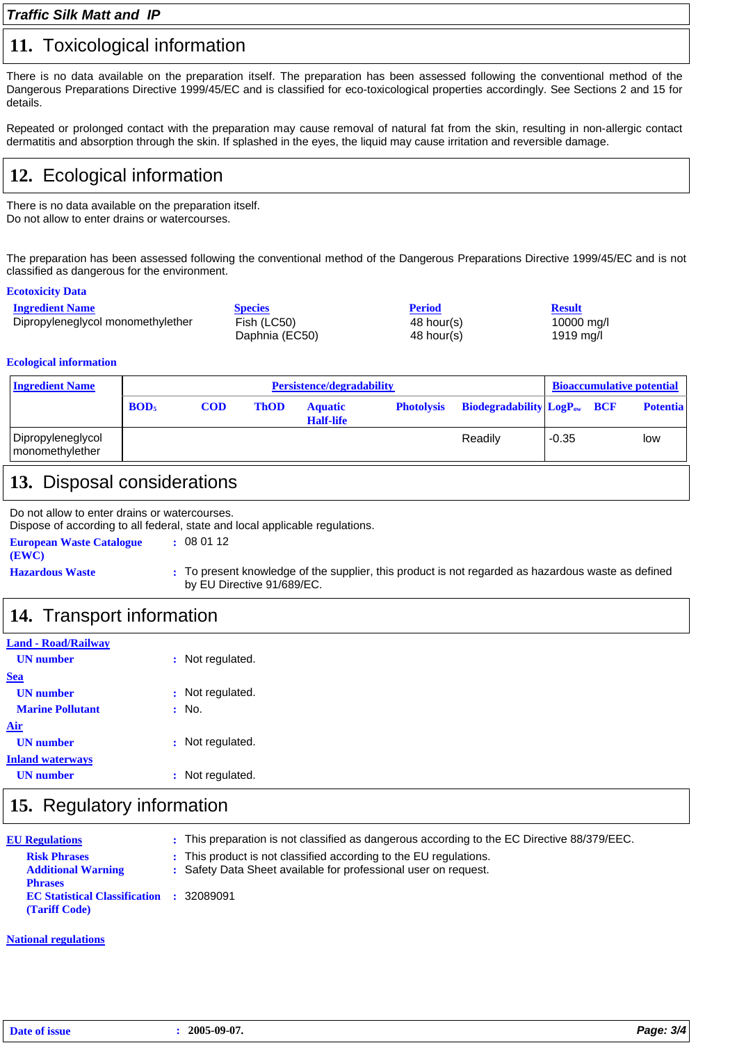#### **11.** Toxicological information

There is no data available on the preparation itself. The preparation has been assessed following the conventional method of the Dangerous Preparations Directive 1999/45/EC and is classified for eco-toxicological properties accordingly. See Sections 2 and 15 for details.

Repeated or prolonged contact with the preparation may cause removal of natural fat from the skin, resulting in non-allergic contact dermatitis and absorption through the skin. If splashed in the eyes, the liquid may cause irritation and reversible damage.

## **12.** Ecological information

There is no data available on the preparation itself. Do not allow to enter drains or watercourses.

The preparation has been assessed following the conventional method of the Dangerous Preparations Directive 1999/45/EC and is not classified as dangerous for the environment.

#### **Ecotoxicity Data**

| <b>Ingredient Name</b>            | <b>Species</b> | <b>Period</b> | <b>Result</b> |
|-----------------------------------|----------------|---------------|---------------|
| Dipropyleneglycol monomethylether | Fish (LC50)    | 48 hour(s)    | 10000 mg/l    |
|                                   | Daphnia (EC50) | 48 hour(s)    | 1919 mg/l     |

#### **Ecological information**

| <b>Ingredient Name</b>               |                         | Persistence/degradability |             |                                    |                   | <b>Bioaccumulative potential</b>   |         |  |                 |
|--------------------------------------|-------------------------|---------------------------|-------------|------------------------------------|-------------------|------------------------------------|---------|--|-----------------|
|                                      | <b>BOD</b> <sub>5</sub> | <b>COD</b>                | <b>ThOD</b> | <b>Aquatic</b><br><b>Half-life</b> | <b>Photolysis</b> | <b>Biodegradability LogPow BCF</b> |         |  | <b>Potentia</b> |
| Dipropyleneglycol<br>monomethylether |                         |                           |             |                                    |                   | Readily                            | $-0.35$ |  | low             |

### **13.** Disposal considerations

Do not allow to enter drains or watercourses.

Dispose of according to all federal, state and local applicable regulations.

| <b>European Waste Catalogue</b><br>(EWC) | : 080112             |
|------------------------------------------|----------------------|
| <b>Hazardous Waste</b>                   | : To present knowled |

ge of the supplier, this product is not regarded as hazardous waste as defined by EU Directive 91/689/EC.

### **14.** Transport information

| <b>Land - Road/Railway</b> |                  |
|----------------------------|------------------|
| <b>UN</b> number           | : Not regulated. |
| <b>Sea</b>                 |                  |
| <b>UN</b> number           | : Not regulated. |
| <b>Marine Pollutant</b>    | : No.            |
| Air                        |                  |
| <b>UN</b> number           | : Not regulated. |
| <b>Inland waterways</b>    |                  |
| <b>UN</b> number           | : Not regulated. |
|                            |                  |

### **15.** Regulatory information

| <b>EU Regulations</b>                                                              | : This preparation is not classified as dangerous according to the EC Directive 88/379/EEC.                                          |
|------------------------------------------------------------------------------------|--------------------------------------------------------------------------------------------------------------------------------------|
| <b>Risk Phrases</b><br><b>Additional Warning</b>                                   | : This product is not classified according to the EU regulations.<br>: Safety Data Sheet available for professional user on request. |
| <b>Phrases</b><br><b>EC Statistical Classification : 32089091</b><br>(Tariff Code) |                                                                                                                                      |

#### **National regulations**